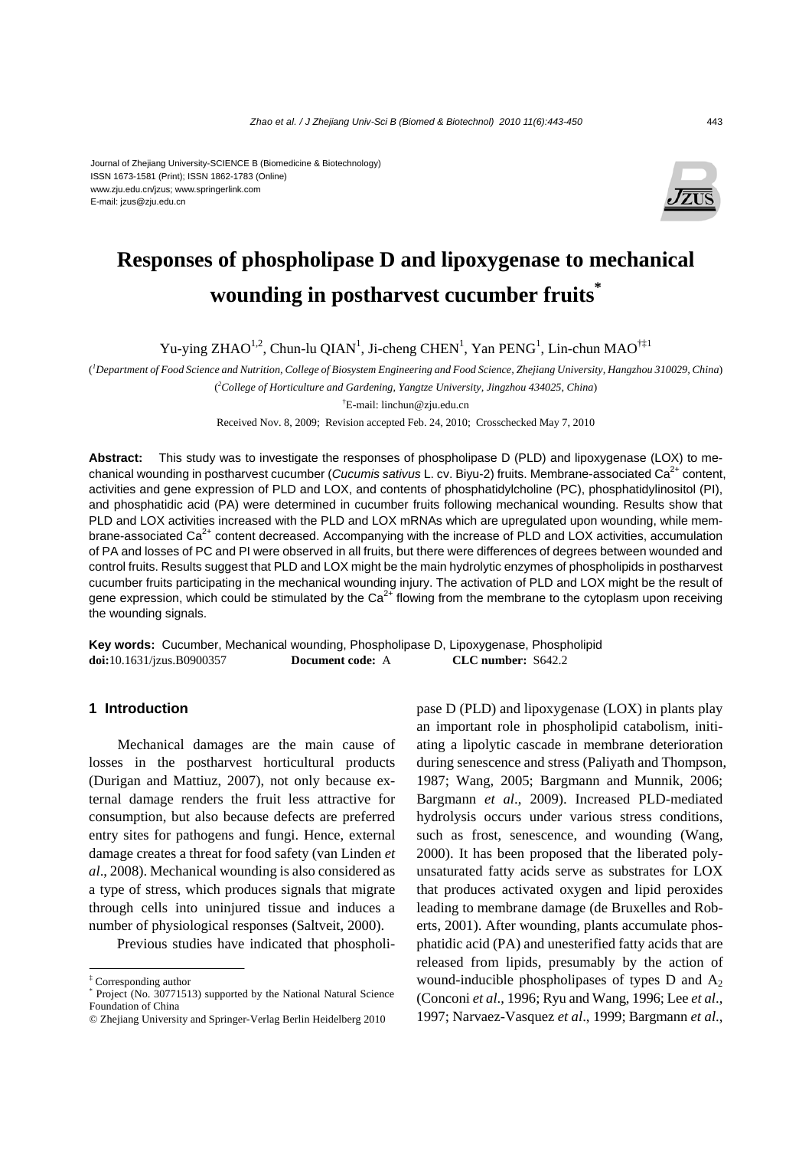#### Journal of Zhejiang University-SCIENCE B (Biomedicine & Biotechnology) ISSN 1673-1581 (Print); ISSN 1862-1783 (Online) www.zju.edu.cn/jzus; www.springerlink.com E-mail: jzus@zju.edu.cn



# **Responses of phospholipase D and lipoxygenase to mechanical wounding in postharvest cucumber fruits\***

Yu-ying ZHAO<sup>1,2</sup>, Chun-lu QIAN<sup>1</sup>, Ji-cheng CHEN<sup>1</sup>, Yan PENG<sup>1</sup>, Lin-chun MAO<sup>†‡1</sup>

( *1 Department of Food Science and Nutrition, College of Biosystem Engineering and Food Science, Zhejiang University, Hangzhou 310029, China*) ( *2 College of Horticulture and Gardening, Yangtze University, Jingzhou 434025, China*)

† E-mail: linchun@zju.edu.cn

Received Nov. 8, 2009; Revision accepted Feb. 24, 2010; Crosschecked May 7, 2010

**Abstract:** This study was to investigate the responses of phospholipase D (PLD) and lipoxygenase (LOX) to mechanical wounding in postharvest cucumber (*Cucumis sativus* L. cv. Biyu-2) fruits. Membrane-associated Ca<sup>2+</sup> content, activities and gene expression of PLD and LOX, and contents of phosphatidylcholine (PC), phosphatidylinositol (PI), and phosphatidic acid (PA) were determined in cucumber fruits following mechanical wounding. Results show that PLD and LOX activities increased with the PLD and LOX mRNAs which are upregulated upon wounding, while membrane-associated Ca<sup>2+</sup> content decreased. Accompanying with the increase of PLD and LOX activities, accumulation of PA and losses of PC and PI were observed in all fruits, but there were differences of degrees between wounded and control fruits. Results suggest that PLD and LOX might be the main hydrolytic enzymes of phospholipids in postharvest cucumber fruits participating in the mechanical wounding injury. The activation of PLD and LOX might be the result of gene expression, which could be stimulated by the  $Ca<sup>2+</sup>$  flowing from the membrane to the cytoplasm upon receiving the wounding signals.

**Key words:** Cucumber, Mechanical wounding, Phospholipase D, Lipoxygenase, Phospholipid **doi:**10.1631/jzus.B0900357 **Document code:** A **CLC number:** S642.2

### **1 Introduction**

Mechanical damages are the main cause of losses in the postharvest horticultural products (Durigan and Mattiuz, 2007), not only because external damage renders the fruit less attractive for consumption, but also because defects are preferred entry sites for pathogens and fungi. Hence, external damage creates a threat for food safety (van Linden *et al*., 2008). Mechanical wounding is also considered as a type of stress, which produces signals that migrate through cells into uninjured tissue and induces a number of physiological responses (Saltveit, 2000).

Previous studies have indicated that phospholi-

pase D (PLD) and lipoxygenase (LOX) in plants play an important role in phospholipid catabolism, initiating a lipolytic cascade in membrane deterioration during senescence and stress (Paliyath and Thompson, 1987; Wang, 2005; Bargmann and Munnik, 2006; Bargmann *et al*., 2009). Increased PLD-mediated hydrolysis occurs under various stress conditions, such as frost, senescence, and wounding (Wang, 2000). It has been proposed that the liberated polyunsaturated fatty acids serve as substrates for LOX that produces activated oxygen and lipid peroxides leading to membrane damage (de Bruxelles and Roberts, 2001). After wounding, plants accumulate phosphatidic acid (PA) and unesterified fatty acids that are released from lipids, presumably by the action of wound-inducible phospholipases of types  $D$  and  $A_2$ (Conconi *et al*., 1996; Ryu and Wang, 1996; Lee *et al*., 1997; Narvaez-Vasquez *et al*., 1999; Bargmann *et al*.,

<sup>‡</sup> Corresponding author

<sup>\*</sup> Project (No. 30771513) supported by the National Natural Science Foundation of China

<sup>©</sup> Zhejiang University and Springer-Verlag Berlin Heidelberg 2010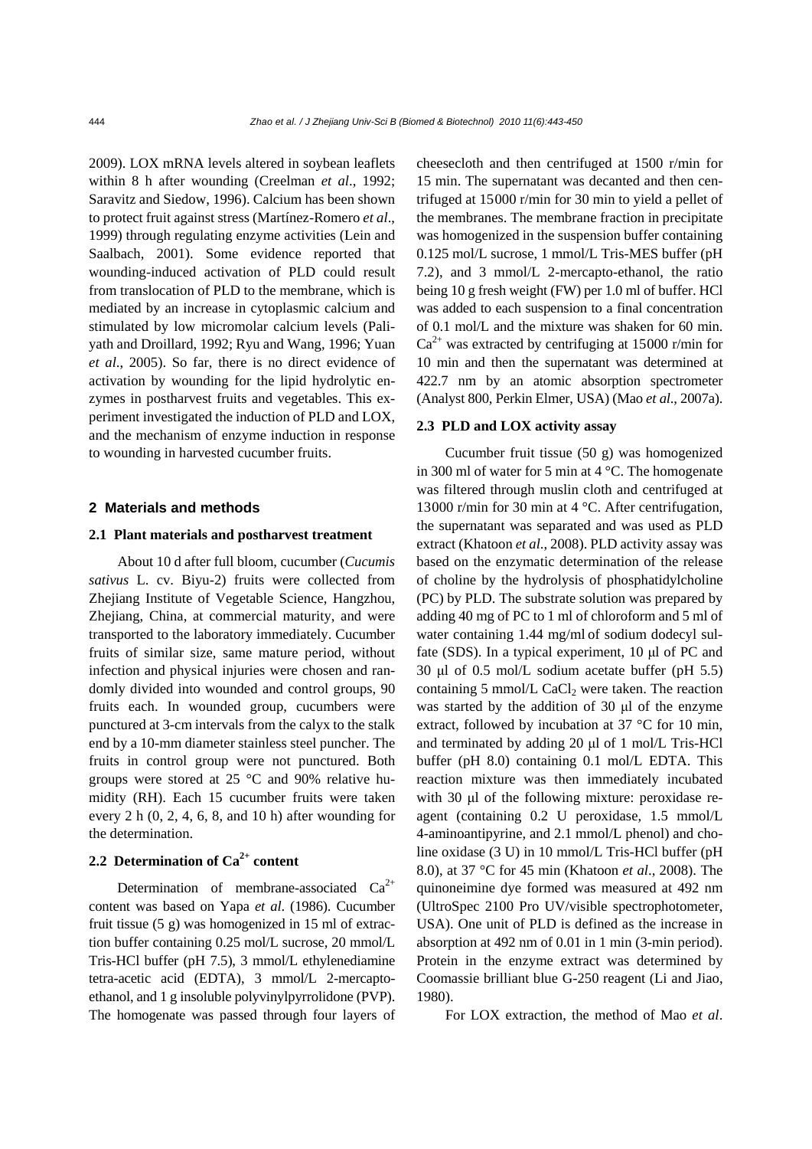2009). LOX mRNA levels altered in soybean leaflets within 8 h after wounding (Creelman *et al*., 1992; Saravitz and Siedow, 1996). Calcium has been shown to protect fruit against stress (Martínez-Romero *et al*., 1999) through regulating enzyme activities (Lein and Saalbach, 2001). Some evidence reported that wounding-induced activation of PLD could result from translocation of PLD to the membrane, which is mediated by an increase in cytoplasmic calcium and stimulated by low micromolar calcium levels (Paliyath and Droillard, 1992; Ryu and Wang, 1996; Yuan *et al*., 2005). So far, there is no direct evidence of activation by wounding for the lipid hydrolytic enzymes in postharvest fruits and vegetables. This experiment investigated the induction of PLD and LOX, and the mechanism of enzyme induction in response to wounding in harvested cucumber fruits.

### **2 Materials and methods**

### **2.1 Plant materials and postharvest treatment**

About 10 d after full bloom, cucumber (*Cucumis sativus* L. cv. Biyu-2) fruits were collected from Zhejiang Institute of Vegetable Science, Hangzhou, Zhejiang, China, at commercial maturity, and were transported to the laboratory immediately. Cucumber fruits of similar size, same mature period, without infection and physical injuries were chosen and randomly divided into wounded and control groups, 90 fruits each. In wounded group, cucumbers were punctured at 3-cm intervals from the calyx to the stalk end by a 10-mm diameter stainless steel puncher. The fruits in control group were not punctured. Both groups were stored at 25 °C and 90% relative humidity (RH). Each 15 cucumber fruits were taken every 2 h  $(0, 2, 4, 6, 8,$  and 10 h) after wounding for the determination.

# **2.2 Determination of Ca2+ content**

Determination of membrane-associated  $Ca^{2+}$ content was based on Yapa *et al*. (1986). Cucumber fruit tissue (5 g) was homogenized in 15 ml of extraction buffer containing 0.25 mol/L sucrose, 20 mmol/L Tris-HCl buffer (pH 7.5), 3 mmol/L ethylenediamine tetra-acetic acid (EDTA), 3 mmol/L 2-mercaptoethanol, and 1 g insoluble polyvinylpyrrolidone (PVP). The homogenate was passed through four layers of cheesecloth and then centrifuged at 1500 r/min for 15 min. The supernatant was decanted and then centrifuged at 15000 r/min for 30 min to yield a pellet of the membranes. The membrane fraction in precipitate was homogenized in the suspension buffer containing 0.125 mol/L sucrose, 1 mmol/L Tris-MES buffer (pH 7.2), and 3 mmol/L 2-mercapto-ethanol, the ratio being 10 g fresh weight (FW) per 1.0 ml of buffer. HCl was added to each suspension to a final concentration of 0.1 mol/L and the mixture was shaken for 60 min.  $Ca^{2+}$  was extracted by centrifuging at 15000 r/min for 10 min and then the supernatant was determined at 422.7 nm by an atomic absorption spectrometer (Analyst 800, Perkin Elmer, USA) (Mao *et al*., 2007a).

### **2.3 PLD and LOX activity assay**

Cucumber fruit tissue (50 g) was homogenized in 300 ml of water for 5 min at 4 °C. The homogenate was filtered through muslin cloth and centrifuged at 13000 r/min for 30 min at 4 °C. After centrifugation, the supernatant was separated and was used as PLD extract (Khatoon *et al*., 2008). PLD activity assay was based on the enzymatic determination of the release of choline by the hydrolysis of phosphatidylcholine (PC) by PLD. The substrate solution was prepared by adding 40 mg of PC to 1 ml of chloroform and 5 ml of water containing 1.44 mg/ml of sodium dodecyl sulfate (SDS). In a typical experiment, 10 μl of PC and 30 μl of 0.5 mol/L sodium acetate buffer (pH 5.5) containing  $5 \text{ mmol/L}$  CaCl<sub>2</sub> were taken. The reaction was started by the addition of 30 μl of the enzyme extract, followed by incubation at 37 °C for 10 min, and terminated by adding 20 μl of 1 mol/L Tris-HCl buffer (pH 8.0) containing 0.1 mol/L EDTA. This reaction mixture was then immediately incubated with 30 μl of the following mixture: peroxidase reagent (containing 0.2 U peroxidase, 1.5 mmol/L 4-aminoantipyrine, and 2.1 mmol/L phenol) and choline oxidase (3 U) in 10 mmol/L Tris-HCl buffer (pH 8.0), at 37 °C for 45 min (Khatoon *et al*., 2008). The quinoneimine dye formed was measured at 492 nm (UltroSpec 2100 Pro UV/visible spectrophotometer, USA). One unit of PLD is defined as the increase in absorption at 492 nm of 0.01 in 1 min (3-min period). Protein in the enzyme extract was determined by Coomassie brilliant blue G-250 reagent (Li and Jiao, 1980).

For LOX extraction, the method of Mao *et al*.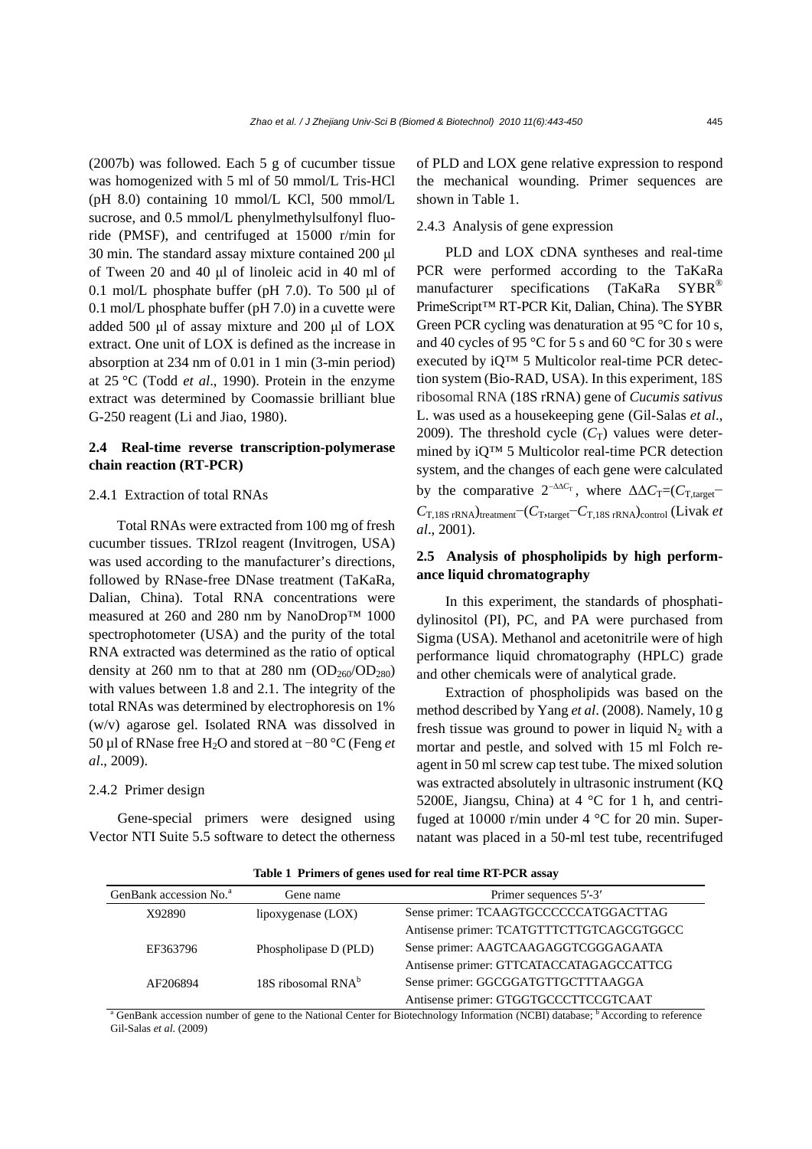(2007b) was followed. Each 5 g of cucumber tissue was homogenized with 5 ml of 50 mmol/L Tris-HCl (pH 8.0) containing 10 mmol/L KCl, 500 mmol/L sucrose, and 0.5 mmol/L phenylmethylsulfonyl fluoride (PMSF), and centrifuged at 15000 r/min for 30 min. The standard assay mixture contained 200 μl of Tween 20 and 40 μl of linoleic acid in 40 ml of 0.1 mol/L phosphate buffer (pH 7.0). To 500 μl of 0.1 mol/L phosphate buffer (pH 7.0) in a cuvette were added 500 μl of assay mixture and 200 μl of LOX extract. One unit of LOX is defined as the increase in absorption at 234 nm of 0.01 in 1 min (3-min period) at 25 °C (Todd *et al*., 1990). Protein in the enzyme extract was determined by Coomassie brilliant blue G-250 reagent (Li and Jiao, 1980).

# **2.4 Real-time reverse transcription-polymerase chain reaction (RT-PCR)**

#### 2.4.1 Extraction of total RNAs

Total RNAs were extracted from 100 mg of fresh cucumber tissues. TRIzol reagent (Invitrogen, USA) was used according to the manufacturer's directions, followed by RNase-free DNase treatment (TaKaRa, Dalian, China). Total RNA concentrations were measured at 260 and 280 nm by NanoDrop™ 1000 spectrophotometer (USA) and the purity of the total RNA extracted was determined as the ratio of optical density at 260 nm to that at 280 nm  $(OD<sub>260</sub>/OD<sub>280</sub>)$ with values between 1.8 and 2.1. The integrity of the total RNAs was determined by electrophoresis on 1% (w/v) agarose gel. Isolated RNA was dissolved in 50 µl of RNase free H2O and stored at −80 °C (Feng *et al*., 2009).

#### 2.4.2 Primer design

Gene-special primers were designed using Vector NTI Suite 5.5 software to detect the otherness of PLD and LOX gene relative expression to respond the mechanical wounding. Primer sequences are shown in Table 1.

### 2.4.3 Analysis of gene expression

PLD and LOX cDNA syntheses and real-time PCR were performed according to the TaKaRa manufacturer specifications (TaKaRa SYBR®) PrimeScript™ RT-PCR Kit, Dalian, China). The SYBR Green PCR cycling was denaturation at 95 °C for 10 s, and 40 cycles of 95 °C for 5 s and 60 °C for 30 s were executed by iQ™ 5 Multicolor real-time PCR detection system (Bio-RAD, USA). In this experiment, 18S ribosomal RNA (18S rRNA) gene of *Cucumis sativus* L. was used as a housekeeping gene (Gil-Salas *et al*., 2009). The threshold cycle  $(C_T)$  values were determined by iQ™ 5 Multicolor real-time PCR detection system, and the changes of each gene were calculated by the comparative  $2^{-\Delta\Delta C_{\rm T}}$ , where  $\Delta\Delta C_{\rm T}=(C_{\rm T,target}-$ *C*T,18S rRNA)treatment−(*C*T,target−*C*T,18S rRNA)control (Livak *et al*., 2001).

## **2.5 Analysis of phospholipids by high performance liquid chromatography**

In this experiment, the standards of phosphatidylinositol (PI), PC, and PA were purchased from Sigma (USA). Methanol and acetonitrile were of high performance liquid chromatography (HPLC) grade and other chemicals were of analytical grade.

Extraction of phospholipids was based on the method described by Yang *et al*. (2008). Namely, 10 g fresh tissue was ground to power in liquid  $N_2$  with a mortar and pestle, and solved with 15 ml Folch reagent in 50 ml screw cap test tube. The mixed solution was extracted absolutely in ultrasonic instrument (KQ 5200E, Jiangsu, China) at 4 °C for 1 h, and centrifuged at 10000 r/min under 4 °C for 20 min. Supernatant was placed in a 50-ml test tube, recentrifuged

**Table 1 Primers of genes used for real time RT-PCR assay** 

| GenBank accession No. <sup>a</sup>                                                                                                                      | Gene name                      | Primer sequences 5'-3'                    |
|---------------------------------------------------------------------------------------------------------------------------------------------------------|--------------------------------|-------------------------------------------|
| X92890                                                                                                                                                  | lipoxygenase $(LOX)$           | Sense primer: TCAAGTGCCCCCCATGGACTTAG     |
|                                                                                                                                                         |                                | Antisense primer: TCATGTTTCTTGTCAGCGTGGCC |
| EF363796                                                                                                                                                | Phospholipase D (PLD)          | Sense primer: AAGTCAAGAGGTCGGGAGAATA      |
|                                                                                                                                                         |                                | Antisense primer: GTTCATACCATAGAGCCATTCG  |
| AF206894                                                                                                                                                | 18S ribosomal RNA <sup>b</sup> | Sense primer: GGCGGATGTTGCTTTAAGGA        |
|                                                                                                                                                         |                                | Antisense primer: GTGGTGCCCTTCCGTCAAT     |
| <sup>a</sup> GenBank accession number of gene to the National Center for Biotechnology Information (NCBI) database; <sup>b</sup> According to reference |                                |                                           |

Gil-Salas *et al*. (2009)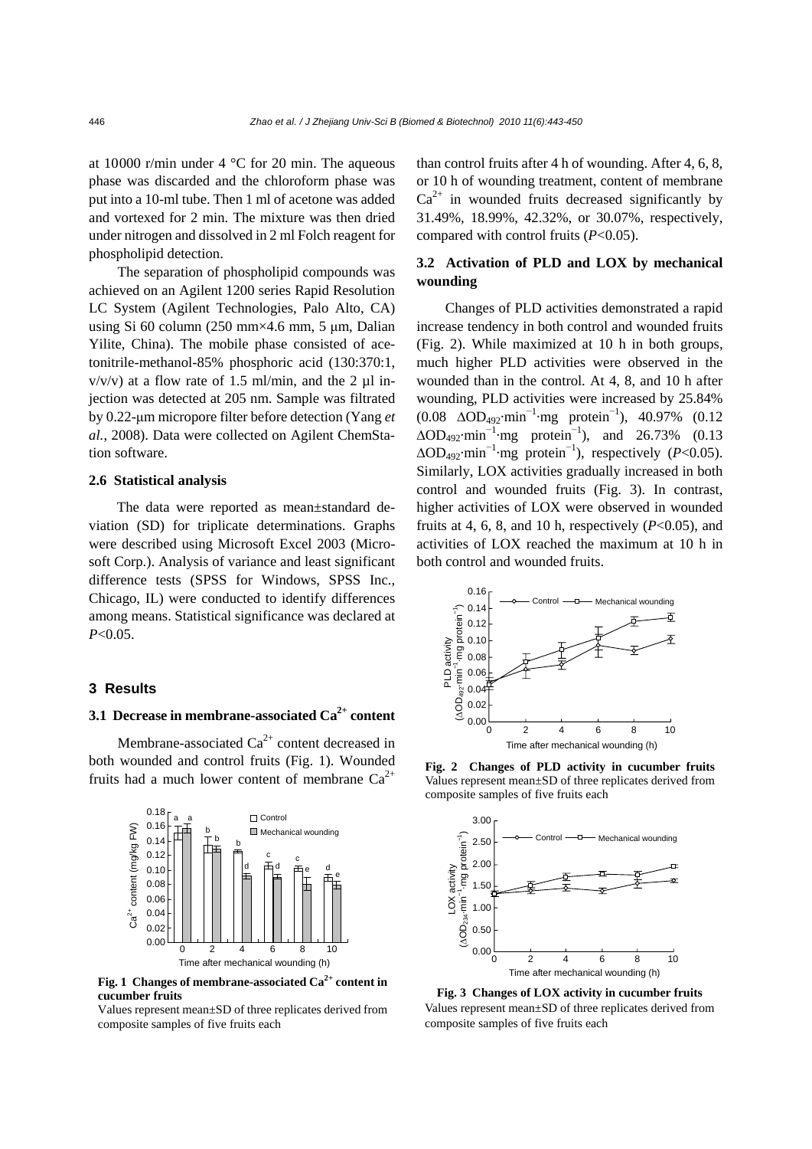at 10000 r/min under 4 °C for 20 min. The aqueous phase was discarded and the chloroform phase was put into a 10-ml tube. Then 1 ml of acetone was added and vortexed for 2 min. The mixture was then dried under nitrogen and dissolved in 2 ml Folch reagent for phospholipid detection.

The separation of phospholipid compounds was achieved on an Agilent 1200 series Rapid Resolution LC System (Agilent Technologies, Palo Alto, CA) using Si 60 column (250 mm×4.6 mm, 5 μm, Dalian Yilite, China). The mobile phase consisted of acetonitrile-methanol-85% phosphoric acid (130:370:1,  $v/v/v$ ) at a flow rate of 1.5 ml/min, and the 2  $\mu$ l injection was detected at 205 nm. Sample was filtrated by 0.22-μm micropore filter before detection (Yang *et al.*, 2008). Data were collected on Agilent ChemStation software.

#### **2.6 Statistical analysis**

The data were reported as mean±standard deviation (SD) for triplicate determinations. Graphs were described using Microsoft Excel 2003 (Microsoft Corp.). Analysis of variance and least significant difference tests (SPSS for Windows, SPSS Inc., Chicago, IL) were conducted to identify differences among means. Statistical significance was declared at *P*<0.05.

#### **3 Results**

# **3.1 Decrease in membrane-associated Ca<sup>2+</sup> content**

Membrane-associated  $Ca^{2+}$  content decreased in both wounded and control fruits (Fig. 1). Wounded fruits had a much lower content of membrane  $Ca^{2+}$ 



**Fig. 1 Changes of membrane-associated Ca2+ content in cucumber fruits** 

Values represent mean±SD of three replicates derived from composite samples of five fruits each

than control fruits after 4 h of wounding. After 4, 6, 8, or 10 h of wounding treatment, content of membrane  $Ca^{2+}$  in wounded fruits decreased significantly by 31.49%, 18.99%, 42.32%, or 30.07%, respectively, compared with control fruits (*P*<0.05).

# **3.2 Activation of PLD and LOX by mechanical wounding**

Changes of PLD activities demonstrated a rapid increase tendency in both control and wounded fruits (Fig. 2). While maximized at 10 h in both groups, much higher PLD activities were observed in the wounded than in the control. At 4, 8, and 10 h after wounding, PLD activities were increased by 25.84% (0.08 ∆OD492·min<sup>−</sup><sup>1</sup> ·mg protein<sup>−</sup><sup>1</sup> ), 40.97% (0.12  $\Delta OD_{492}$ ·min<sup>-1</sup>·mg protein<sup>-1</sup>), and 26.73% (0.13 ∆OD492·min<sup>−</sup><sup>1</sup> ·mg protein<sup>−</sup><sup>1</sup> ), respectively (*P*<0.05). Similarly, LOX activities gradually increased in both control and wounded fruits (Fig. 3). In contrast, higher activities of LOX were observed in wounded fruits at 4, 6, 8, and 10 h, respectively  $(P<0.05)$ , and activities of LOX reached the maximum at 10 h in both control and wounded fruits.



**Fig. 2 Changes of PLD activity in cucumber fruits**  Values represent mean±SD of three replicates derived from composite samples of five fruits each



**Fig. 3 Changes of LOX activity in cucumber fruits**  Values represent mean±SD of three replicates derived from composite samples of five fruits each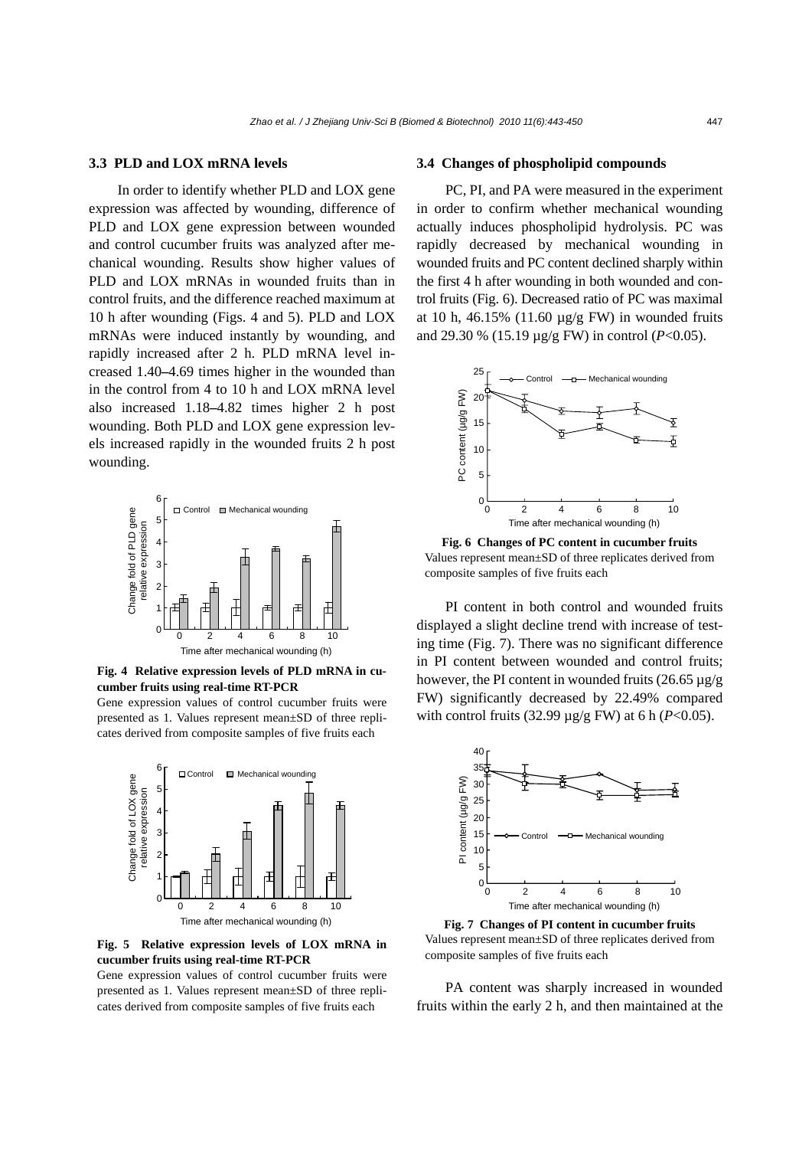### **3.3 PLD and LOX mRNA levels**

In order to identify whether PLD and LOX gene expression was affected by wounding, difference of PLD and LOX gene expression between wounded and control cucumber fruits was analyzed after mechanical wounding. Results show higher values of PLD and LOX mRNAs in wounded fruits than in control fruits, and the difference reached maximum at 10 h after wounding (Figs. 4 and 5). PLD and LOX mRNAs were induced instantly by wounding, and rapidly increased after 2 h. PLD mRNA level increased 1.40**–**4.69 times higher in the wounded than in the control from 4 to 10 h and LOX mRNA level also increased 1.18**–**4.82 times higher 2 h post wounding. Both PLD and LOX gene expression levels increased rapidly in the wounded fruits 2 h post wounding.



**Fig. 4 Relative expression levels of PLD mRNA in cucumber fruits using real-time RT-PCR** 

Gene expression values of control cucumber fruits were presented as 1. Values represent mean±SD of three replicates derived from composite samples of five fruits each



**Fig. 5 Relative expression levels of LOX mRNA in cucumber fruits using real-time RT-PCR** 

Gene expression values of control cucumber fruits were presented as 1. Values represent mean±SD of three replicates derived from composite samples of five fruits each

#### **3.4 Changes of phospholipid compounds**

PC, PI, and PA were measured in the experiment in order to confirm whether mechanical wounding actually induces phospholipid hydrolysis. PC was rapidly decreased by mechanical wounding in wounded fruits and PC content declined sharply within the first 4 h after wounding in both wounded and control fruits (Fig. 6). Decreased ratio of PC was maximal at 10 h, 46.15% (11.60  $\mu$ g/g FW) in wounded fruits and 29.30 % (15.19 µg/g FW) in control (*P*<0.05).



**Fig. 6 Changes of PC content in cucumber fruits**  Values represent mean±SD of three replicates derived from composite samples of five fruits each

PI content in both control and wounded fruits displayed a slight decline trend with increase of testing time (Fig. 7). There was no significant difference in PI content between wounded and control fruits; however, the PI content in wounded fruits  $(26.65 \,\mu$ g/g FW) significantly decreased by 22.49% compared with control fruits (32.99 µg/g FW) at 6 h (*P*<0.05).



**Fig. 7 Changes of PI content in cucumber fruits**  Values represent mean±SD of three replicates derived from composite samples of five fruits each

PA content was sharply increased in wounded fruits within the early 2 h, and then maintained at the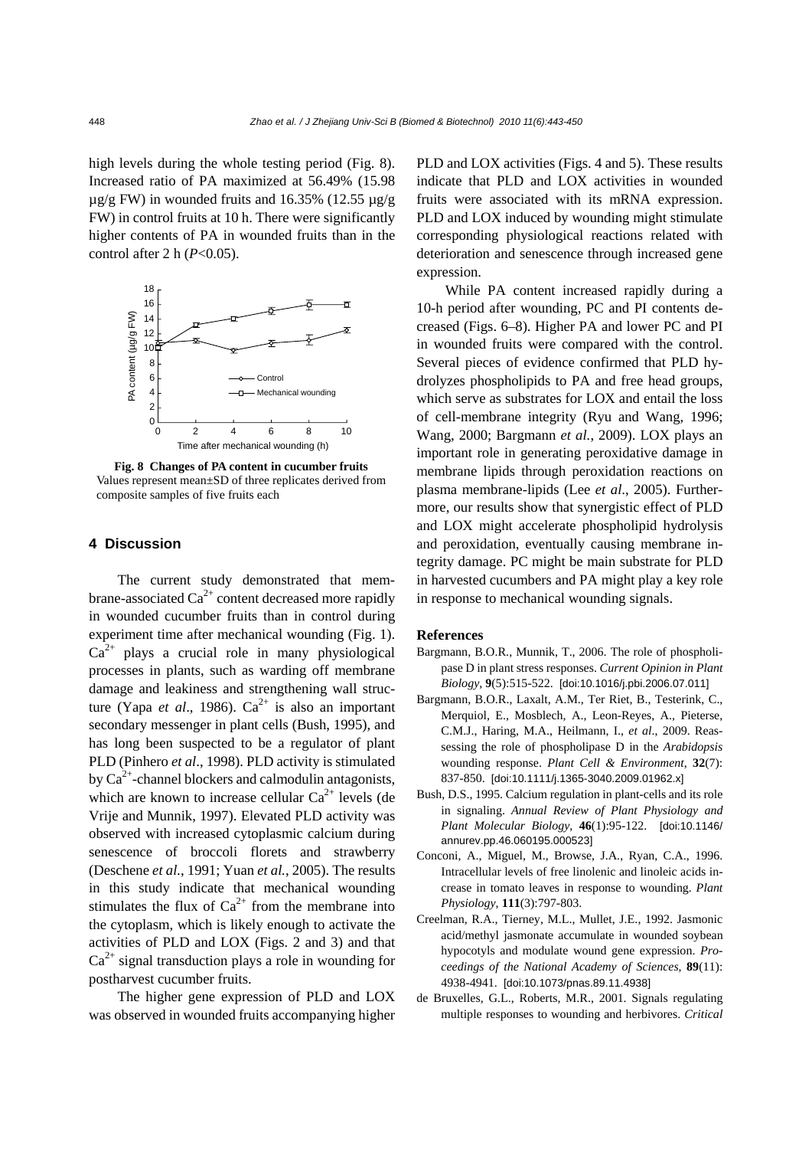high levels during the whole testing period (Fig. 8). Increased ratio of PA maximized at 56.49% (15.98  $\mu$ g/g FW) in wounded fruits and 16.35% (12.55  $\mu$ g/g FW) in control fruits at 10 h. There were significantly higher contents of PA in wounded fruits than in the control after 2 h (*P*<0.05).



**Fig. 8 Changes of PA content in cucumber fruits**  Values represent mean±SD of three replicates derived from composite samples of five fruits each

## **4 Discussion**

The current study demonstrated that membrane-associated  $Ca^{2+}$  content decreased more rapidly in wounded cucumber fruits than in control during experiment time after mechanical wounding (Fig. 1).  $Ca^{2+}$  plays a crucial role in many physiological processes in plants, such as warding off membrane damage and leakiness and strengthening wall structure (Yapa *et al.*, 1986).  $Ca^{2+}$  is also an important secondary messenger in plant cells (Bush, 1995), and has long been suspected to be a regulator of plant PLD (Pinhero *et al*., 1998). PLD activity is stimulated by  $Ca^{2+}$ -channel blockers and calmodulin antagonists, which are known to increase cellular  $Ca^{2+}$  levels (de Vrije and Munnik, 1997). Elevated PLD activity was observed with increased cytoplasmic calcium during senescence of broccoli florets and strawberry (Deschene *et al.*, 1991; Yuan *et al.*, 2005). The results in this study indicate that mechanical wounding stimulates the flux of  $Ca^{2+}$  from the membrane into the cytoplasm, which is likely enough to activate the activities of PLD and LOX (Figs. 2 and 3) and that  $Ca<sup>2+</sup>$  signal transduction plays a role in wounding for postharvest cucumber fruits.

The higher gene expression of PLD and LOX was observed in wounded fruits accompanying higher PLD and LOX activities (Figs. 4 and 5). These results indicate that PLD and LOX activities in wounded fruits were associated with its mRNA expression. PLD and LOX induced by wounding might stimulate corresponding physiological reactions related with deterioration and senescence through increased gene expression.

While PA content increased rapidly during a 10-h period after wounding, PC and PI contents decreased (Figs. 6–8). Higher PA and lower PC and PI in wounded fruits were compared with the control. Several pieces of evidence confirmed that PLD hydrolyzes phospholipids to PA and free head groups, which serve as substrates for LOX and entail the loss of cell-membrane integrity (Ryu and Wang, 1996; Wang, 2000; Bargmann *et al.*, 2009). LOX plays an important role in generating peroxidative damage in membrane lipids through peroxidation reactions on plasma membrane-lipids (Lee *et al*., 2005). Furthermore, our results show that synergistic effect of PLD and LOX might accelerate phospholipid hydrolysis and peroxidation, eventually causing membrane integrity damage. PC might be main substrate for PLD in harvested cucumbers and PA might play a key role in response to mechanical wounding signals.

#### **References**

- Bargmann, B.O.R., Munnik, T., 2006. The role of phospholipase D in plant stress responses. *Current Opinion in Plant Biology*, **9**(5):515-522. [doi:10.1016/j.pbi.2006.07.011]
- Bargmann, B.O.R., Laxalt, A.M., Ter Riet, B., Testerink, C., Merquiol, E., Mosblech, A., Leon-Reyes, A., Pieterse, C.M.J., Haring, M.A., Heilmann, I., *et al*., 2009. Reassessing the role of phospholipase D in the *Arabidopsis* wounding response. *Plant Cell & Environment*, **32**(7): 837-850. [doi:10.1111/j.1365-3040.2009.01962.x]
- Bush, D.S., 1995. Calcium regulation in plant-cells and its role in signaling. *Annual Review of Plant Physiology and Plant Molecular Biology*, **46**(1):95-122. [doi:10.1146/ annurev.pp.46.060195.000523]
- Conconi, A., Miguel, M., Browse, J.A., Ryan, C.A., 1996. Intracellular levels of free linolenic and linoleic acids increase in tomato leaves in response to wounding. *Plant Physiology*, **111**(3):797-803.
- Creelman, R.A., Tierney, M.L., Mullet, J.E., 1992. Jasmonic acid/methyl jasmonate accumulate in wounded soybean hypocotyls and modulate wound gene expression. *Proceedings of the National Academy of Sciences*, **89**(11): 4938-4941. [doi:10.1073/pnas.89.11.4938]
- de Bruxelles, G.L., Roberts, M.R., 2001. Signals regulating multiple responses to wounding and herbivores. *Critical*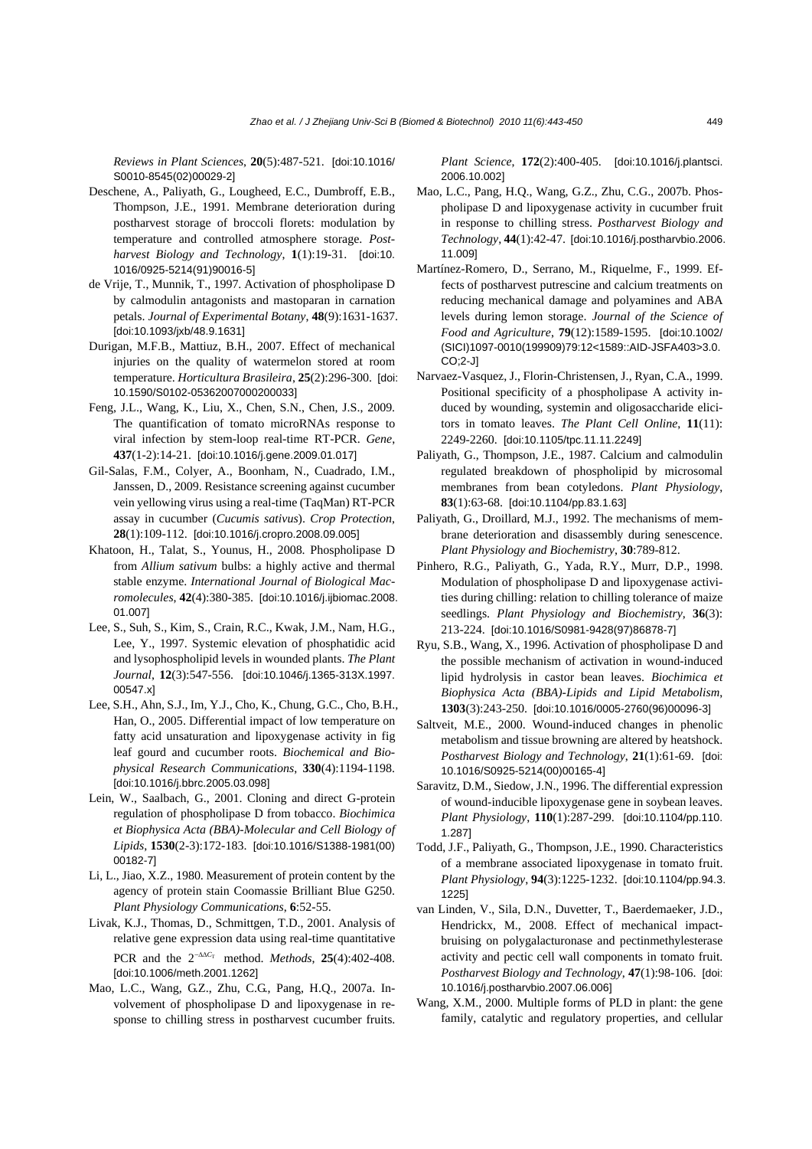*Reviews in Plant Sciences*, **20**(5):487-521. [doi:10.1016/ S0010-8545(02)00029-2]

- Deschene, A., Paliyath, G., Lougheed, E.C., Dumbroff, E.B., Thompson, J.E., 1991. Membrane deterioration during postharvest storage of broccoli florets: modulation by temperature and controlled atmosphere storage. *Postharvest Biology and Technology*, **1**(1):19-31. [doi:10. 1016/0925-5214(91)90016-5]
- de Vrije, T., Munnik, T., 1997. Activation of phospholipase D by calmodulin antagonists and mastoparan in carnation petals. *Journal of Experimental Botany*, **48**(9):1631-1637. [doi:10.1093/jxb/48.9.1631]
- Durigan, M.F.B., Mattiuz, B.H., 2007. Effect of mechanical injuries on the quality of watermelon stored at room temperature. *Horticultura Brasileira*, **25**(2):296-300. [doi: 10.1590/S0102-05362007000200033]
- Feng, J.L., Wang, K., Liu, X., Chen, S.N., Chen, J.S., 2009. The quantification of tomato microRNAs response to viral infection by stem-loop real-time RT-PCR. *Gene*, **437**(1-2):14-21. [doi:10.1016/j.gene.2009.01.017]
- Gil-Salas, F.M., Colyer, A., Boonham, N., Cuadrado, I.M., Janssen, D., 2009. Resistance screening against cucumber vein yellowing virus using a real-time (TaqMan) RT-PCR assay in cucumber (*Cucumis sativus*). *Crop Protection*, **28**(1):109-112. [doi:10.1016/j.cropro.2008.09.005]
- Khatoon, H., Talat, S., Younus, H., 2008. Phospholipase D from *Allium sativum* bulbs: a highly active and thermal stable enzyme. *International Journal of Biological Macromolecules*, **42**(4):380-385. [doi:10.1016/j.ijbiomac.2008. 01.007]
- Lee, S., Suh, S., Kim, S., Crain, R.C., Kwak, J.M., Nam, H.G., Lee, Y., 1997. Systemic elevation of phosphatidic acid and lysophospholipid levels in wounded plants. *The Plant Journal*, **12**(3):547-556. [doi:10.1046/j.1365-313X.1997. 00547.x]
- Lee, S.H., Ahn, S.J., Im, Y.J., Cho, K., Chung, G.C., Cho, B.H., Han, O., 2005. Differential impact of low temperature on fatty acid unsaturation and lipoxygenase activity in fig leaf gourd and cucumber roots. *Biochemical and Biophysical Research Communications*, **330**(4):1194-1198. [doi:10.1016/j.bbrc.2005.03.098]
- Lein, W., Saalbach, G., 2001. Cloning and direct G-protein regulation of phospholipase D from tobacco. *Biochimica et Biophysica Acta (BBA)-Molecular and Cell Biology of Lipids*, **1530**(2-3):172-183. [doi:10.1016/S1388-1981(00) 00182-7]
- Li, L., Jiao, X.Z., 1980. Measurement of protein content by the agency of protein stain Coomassie Brilliant Blue G250. *Plant Physiology Communications*, **6**:52-55.
- Livak, K.J., Thomas, D., Schmittgen, T.D., 2001. Analysis of relative gene expression data using real-time quantitative PCR and the  $2^{-\Delta\Delta C_T}$  method. *Methods*, **25**(4):402-408. [doi:10.1006/meth.2001.1262]
- Mao, L.C., Wang, G.Z., Zhu, C.G., Pang, H.Q., 2007a. Involvement of phospholipase D and lipoxygenase in response to chilling stress in postharvest cucumber fruits.

*Plant Science*, **172**(2):400-405. [doi:10.1016/j.plantsci. 2006.10.002]

- Mao, L.C., Pang, H.Q., Wang, G.Z., Zhu, C.G., 2007b. Phospholipase D and lipoxygenase activity in cucumber fruit in response to chilling stress. *Postharvest Biology and Technology*, **44**(1):42-47. [doi:10.1016/j.postharvbio.2006. 11.009]
- Martínez-Romero, D., Serrano, M., Riquelme, F., 1999. Effects of postharvest putrescine and calcium treatments on reducing mechanical damage and polyamines and ABA levels during lemon storage. *Journal of the Science of Food and Agriculture*, **79**(12):1589-1595. [doi:10.1002/ (SICI)1097-0010(199909)79:12<1589::AID-JSFA403>3.0. CO;2-J]
- Narvaez-Vasquez, J., Florin-Christensen, J., Ryan, C.A., 1999. Positional specificity of a phospholipase A activity induced by wounding, systemin and oligosaccharide elicitors in tomato leaves. *The Plant Cell Online*, **11**(11): 2249-2260. [doi:10.1105/tpc.11.11.2249]
- Paliyath, G., Thompson, J.E., 1987. Calcium and calmodulin regulated breakdown of phospholipid by microsomal membranes from bean cotyledons. *Plant Physiology*, **83**(1):63-68. [doi:10.1104/pp.83.1.63]
- Paliyath, G., Droillard, M.J., 1992. The mechanisms of membrane deterioration and disassembly during senescence. *Plant Physiology and Biochemistry*, **30**:789-812.
- Pinhero, R.G., Paliyath, G., Yada, R.Y., Murr, D.P., 1998. Modulation of phospholipase D and lipoxygenase activities during chilling: relation to chilling tolerance of maize seedlings. *Plant Physiology and Biochemistry*, **36**(3): 213-224. [doi:10.1016/S0981-9428(97)86878-7]
- Ryu, S.B., Wang, X., 1996. Activation of phospholipase D and the possible mechanism of activation in wound-induced lipid hydrolysis in castor bean leaves. *Biochimica et Biophysica Acta (BBA)-Lipids and Lipid Metabolism*, **1303**(3):243-250. [doi:10.1016/0005-2760(96)00096-3]
- Saltveit, M.E., 2000. Wound-induced changes in phenolic metabolism and tissue browning are altered by heatshock. *Postharvest Biology and Technology*, **21**(1):61-69. [doi: 10.1016/S0925-5214(00)00165-4]
- Saravitz, D.M., Siedow, J.N., 1996. The differential expression of wound-inducible lipoxygenase gene in soybean leaves. *Plant Physiology*, **110**(1):287-299. [doi:10.1104/pp.110. 1.287]
- Todd, J.F., Paliyath, G., Thompson, J.E., 1990. Characteristics of a membrane associated lipoxygenase in tomato fruit. *Plant Physiology*, **94**(3):1225-1232. [doi:10.1104/pp.94.3. 1225]
- van Linden, V., Sila, D.N., Duvetter, T., Baerdemaeker, J.D., Hendrickx, M., 2008. Effect of mechanical impactbruising on polygalacturonase and pectinmethylesterase activity and pectic cell wall components in tomato fruit. *Postharvest Biology and Technology*, **47**(1):98-106. [doi: 10.1016/j.postharvbio.2007.06.006]
- Wang, X.M., 2000. Multiple forms of PLD in plant: the gene family, catalytic and regulatory properties, and cellular